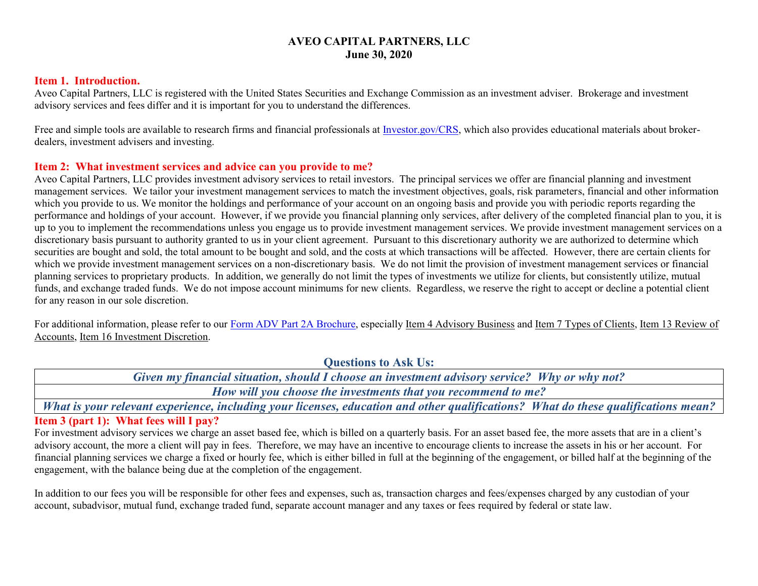### **AVEO CAPITAL PARTNERS, LLC June 30, 2020**

#### **Item 1. Introduction.**

Aveo Capital Partners, LLC is registered with the United States Securities and Exchange Commission as an investment adviser. Brokerage and investment advisory services and fees differ and it is important for you to understand the differences.

Free and simple tools are available to research firms and financial professionals at [Investor.gov/CRS,](https://www.investor.gov/CRS) which also provides educational materials about brokerdealers, investment advisers and investing.

#### **Item 2: What investment services and advice can you provide to me?**

Aveo Capital Partners, LLC provides investment advisory services to retail investors. The principal services we offer are financial planning and investment management services. We tailor your investment management services to match the investment objectives, goals, risk parameters, financial and other information which you provide to us. We monitor the holdings and performance of your account on an ongoing basis and provide you with periodic reports regarding the performance and holdings of your account. However, if we provide you financial planning only services, after delivery of the completed financial plan to you, it is up to you to implement the recommendations unless you engage us to provide investment management services. We provide investment management services on a discretionary basis pursuant to authority granted to us in your client agreement. Pursuant to this discretionary authority we are authorized to determine which securities are bought and sold, the total amount to be bought and sold, and the costs at which transactions will be affected. However, there are certain clients for which we provide investment management services on a non-discretionary basis. We do not limit the provision of investment management services or financial planning services to proprietary products. In addition, we generally do not limit the types of investments we utilize for clients, but consistently utilize, mutual funds, and exchange traded funds. We do not impose account minimums for new clients. Regardless, we reserve the right to accept or decline a potential client for any reason in our sole discretion.

For additional information, please refer to our [Form ADV Part 2A Brochure,](https://files.adviserinfo.sec.gov/IAPD/Content/Common/crd_iapd_Brochure.aspx?BRCHR_VRSN_ID=618758) especially Item 4 Advisory Business and Item 7 Types of Clients, Item 13 Review of Accounts, Item 16 Investment Discretion.

**Questions to Ask Us:**

| Given my financial situation, should I choose an investment advisory service? Why or why not? |  |
|-----------------------------------------------------------------------------------------------|--|
| How will you choose the investments that you recommend to me?                                 |  |

*What is your relevant experience, including your licenses, education and other qualifications? What do these qualifications mean?*

## **Item 3 (part 1): What fees will I pay?**

For investment advisory services we charge an asset based fee, which is billed on a quarterly basis. For an asset based fee, the more assets that are in a client's advisory account, the more a client will pay in fees. Therefore, we may have an incentive to encourage clients to increase the assets in his or her account. For financial planning services we charge a fixed or hourly fee, which is either billed in full at the beginning of the engagement, or billed half at the beginning of the engagement, with the balance being due at the completion of the engagement.

In addition to our fees you will be responsible for other fees and expenses, such as, transaction charges and fees/expenses charged by any custodian of your account, subadvisor, mutual fund, exchange traded fund, separate account manager and any taxes or fees required by federal or state law.